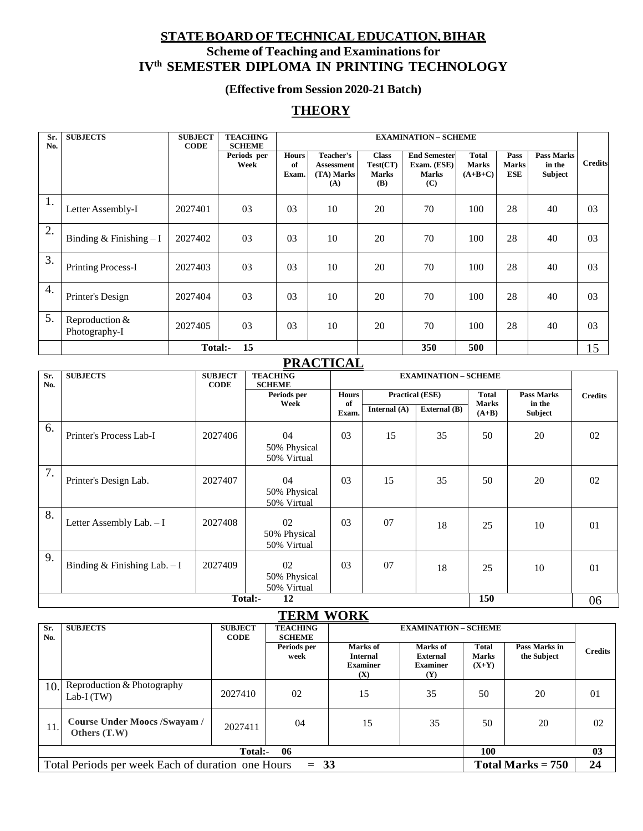### **STATEBOARD OFTECHNICALEDUCATION,BIHAR Scheme of Teaching and Examinationsfor IVth SEMESTER DIPLOMA IN PRINTING TECHNOLOGY**

### **(Effective from Session 2020-21 Batch)**

### **THEORY**

| Sr. | <b>SUBJECTS</b>                 | <b>SUBJECT</b> | <b>TEACHING</b>                      |                             | <b>EXAMINATION - SCHEME</b>                         |                                                 |                                                           |                                           |                             |                                        |                |
|-----|---------------------------------|----------------|--------------------------------------|-----------------------------|-----------------------------------------------------|-------------------------------------------------|-----------------------------------------------------------|-------------------------------------------|-----------------------------|----------------------------------------|----------------|
| No. |                                 | <b>CODE</b>    | <b>SCHEME</b><br>Periods per<br>Week | <b>Hours</b><br>of<br>Exam. | <b>Teacher's</b><br>Assessment<br>(TA) Marks<br>(A) | <b>Class</b><br>Test(CT)<br><b>Marks</b><br>(B) | <b>End Semester</b><br>Exam. (ESE)<br><b>Marks</b><br>(C) | <b>Total</b><br><b>Marks</b><br>$(A+B+C)$ | Pass<br><b>Marks</b><br>ESE | <b>Pass Marks</b><br>in the<br>Subject | <b>Credits</b> |
| 1.  | Letter Assembly-I               | 2027401        | 03                                   | 03                          | 10                                                  | 20                                              | 70                                                        | 100                                       | 28                          | 40                                     | 03             |
| 2.  | Binding & Finishing $-I$        | 2027402        | 03                                   | 03                          | 10                                                  | 20                                              | 70                                                        | 100                                       | 28                          | 40                                     | 03             |
| 3.  | <b>Printing Process-I</b>       | 2027403        | 03                                   | 03                          | 10                                                  | 20                                              | 70                                                        | 100                                       | 28                          | 40                                     | 03             |
| 4.  | Printer's Design                | 2027404        | 03                                   | 03                          | 10                                                  | 20                                              | 70                                                        | 100                                       | 28                          | 40                                     | 03             |
| 5.  | Reproduction &<br>Photography-I | 2027405        | 03                                   | 03                          | 10                                                  | 20                                              | 70                                                        | 100                                       | 28                          | 40                                     | 03             |
|     |                                 | Total:-        | 15                                   |                             |                                                     |                                                 | 350                                                       | 500                                       |                             |                                        | 15             |

### **PRACTICAL**

| Sr.<br>No. | <b>SUBJECTS</b>                | <b>SUBJECT</b><br><b>CODE</b> | <b>TEACHING</b><br><b>SCHEME</b>  | <b>EXAMINATION - SCHEME</b> |                        |              |                              |                          |    |
|------------|--------------------------------|-------------------------------|-----------------------------------|-----------------------------|------------------------|--------------|------------------------------|--------------------------|----|
|            |                                |                               | Periods per<br>Week               | <b>Hours</b><br>of          | <b>Practical (ESE)</b> |              | <b>Total</b><br><b>Marks</b> | <b>Pass Marks</b>        |    |
|            |                                |                               |                                   | Exam.                       | Internal (A)           | External (B) | $(A+B)$                      | in the<br><b>Subject</b> |    |
| 6.         | Printer's Process Lab-I        | 2027406                       | 04<br>50% Physical<br>50% Virtual | 03                          | 15                     | 35           | 50                           | 20                       | 02 |
| 7.         | Printer's Design Lab.          | 2027407                       | 04<br>50% Physical<br>50% Virtual | 03                          | 15                     | 35           | 50                           | 20                       | 02 |
| 8.         | Letter Assembly Lab. - I       | 2027408                       | 02<br>50% Physical<br>50% Virtual | 03                          | 07                     | 18           | 25                           | 10                       | 01 |
| 9.         | Binding & Finishing Lab. $- I$ | 2027409                       | 02<br>50% Physical<br>50% Virtual | 03                          | 07                     | 18           | 25                           | 10                       | 01 |
|            | 150<br>Total:-<br>12           |                               |                                   |                             |                        |              |                              | 06                       |    |

### **TERM WORK**

| Sr.<br>No.                                                                               | <b>SUBJECTS</b>                              | <b>SUBJECT</b><br><b>CODE</b> | <b>TEACHING</b><br><b>SCHEME</b> | <b>EXAMINATION - SCHEME</b>                           |                                                       |                                         |                              |                |
|------------------------------------------------------------------------------------------|----------------------------------------------|-------------------------------|----------------------------------|-------------------------------------------------------|-------------------------------------------------------|-----------------------------------------|------------------------------|----------------|
|                                                                                          |                                              |                               | Periods per<br>week              | Marks of<br><b>Internal</b><br><b>Examiner</b><br>(X) | Marks of<br><b>External</b><br><b>Examiner</b><br>(Y) | <b>Total</b><br><b>Marks</b><br>$(X+Y)$ | Pass Marks in<br>the Subject | <b>Credits</b> |
| 10.1                                                                                     | Reproduction & Photography<br>Lab-I $(TW)$   | 2027410                       | 02                               | 15                                                    | 35                                                    | 50                                      | 20                           | 01             |
| 11.1                                                                                     | Course Under Moocs /Swayam /<br>Others (T.W) | 2027411                       | 04                               | 15                                                    | 35                                                    | 50                                      | 20                           | 02             |
|                                                                                          |                                              | Total:-                       | 06                               |                                                       |                                                       | 100                                     |                              | 03             |
| Total Periods per week Each of duration one Hours<br>$= 33$<br>Total Marks $= 750$<br>24 |                                              |                               |                                  |                                                       |                                                       |                                         |                              |                |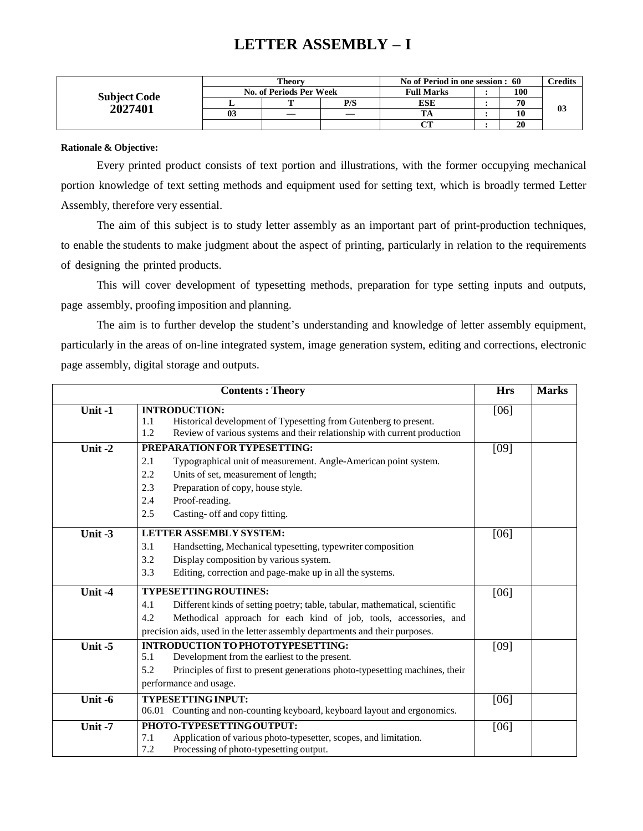### **LETTER ASSEMBLY – I**

|                     | Theorv |                         |     | No of Period in one session : 60 | $\mathbb C$ redits |    |
|---------------------|--------|-------------------------|-----|----------------------------------|--------------------|----|
| <b>Subject Code</b> |        | No. of Periods Per Week |     | <b>Full Marks</b>                | 100                |    |
| 2027401             |        | m                       | P/S | ESE                              | 70                 | 03 |
|                     | 03     |                         |     |                                  | 10                 |    |
|                     |        |                         |     | $\sim$                           | 20                 |    |

#### **Rationale & Objective:**

Every printed product consists of text portion and illustrations, with the former occupying mechanical portion knowledge of text setting methods and equipment used for setting text, which is broadly termed Letter Assembly, therefore very essential.

The aim of this subject is to study letter assembly as an important part of print-production techniques, to enable the students to make judgment about the aspect of printing, particularly in relation to the requirements of designing the printed products.

This will cover development of typesetting methods, preparation for type setting inputs and outputs, page assembly, proofing imposition and planning.

The aim is to further develop the student's understanding and knowledge of letter assembly equipment, particularly in the areas of on-line integrated system, image generation system, editing and corrections, electronic page assembly, digital storage and outputs.

|         | <b>Contents: Theory</b>                                                                                                                                                                                                                                                | <b>Hrs</b> | <b>Marks</b> |
|---------|------------------------------------------------------------------------------------------------------------------------------------------------------------------------------------------------------------------------------------------------------------------------|------------|--------------|
| Unit-1  | <b>INTRODUCTION:</b><br>Historical development of Typesetting from Gutenberg to present.<br>1.1<br>Review of various systems and their relationship with current production<br>1.2                                                                                     | [06]       |              |
| Unit-2  | PREPARATION FOR TYPESETTING:<br>Typographical unit of measurement. Angle-American point system.<br>2.1<br>Units of set, measurement of length;<br>2.2<br>Preparation of copy, house style.<br>2.3<br>2.4<br>Proof-reading.<br>Casting- off and copy fitting.<br>2.5    | [09]       |              |
| Unit -3 | <b>LETTER ASSEMBLY SYSTEM:</b><br>3.1<br>Handsetting, Mechanical typesetting, typewriter composition<br>Display composition by various system.<br>3.2<br>Editing, correction and page-make up in all the systems.<br>3.3                                               | [06]       |              |
| Unit-4  | TYPESETTING ROUTINES:<br>4.1<br>Different kinds of setting poetry; table, tabular, mathematical, scientific<br>Methodical approach for each kind of job, tools, accessories, and<br>4.2<br>precision aids, used in the letter assembly departments and their purposes. | [06]       |              |
| Unit-5  | <b>INTRODUCTION TO PHOTOTYPESETTING:</b><br>Development from the earliest to the present.<br>5.1<br>Principles of first to present generations photo-typesetting machines, their<br>5.2<br>performance and usage.                                                      | [09]       |              |
| Unit -6 | <b>TYPESETTING INPUT:</b><br>06.01 Counting and non-counting keyboard, keyboard layout and ergonomics.                                                                                                                                                                 | [06]       |              |
| Unit-7  | PHOTO-TYPESETTING OUTPUT:<br>Application of various photo-typesetter, scopes, and limitation.<br>7.1<br>7.2<br>Processing of photo-typesetting output.                                                                                                                 | [06]       |              |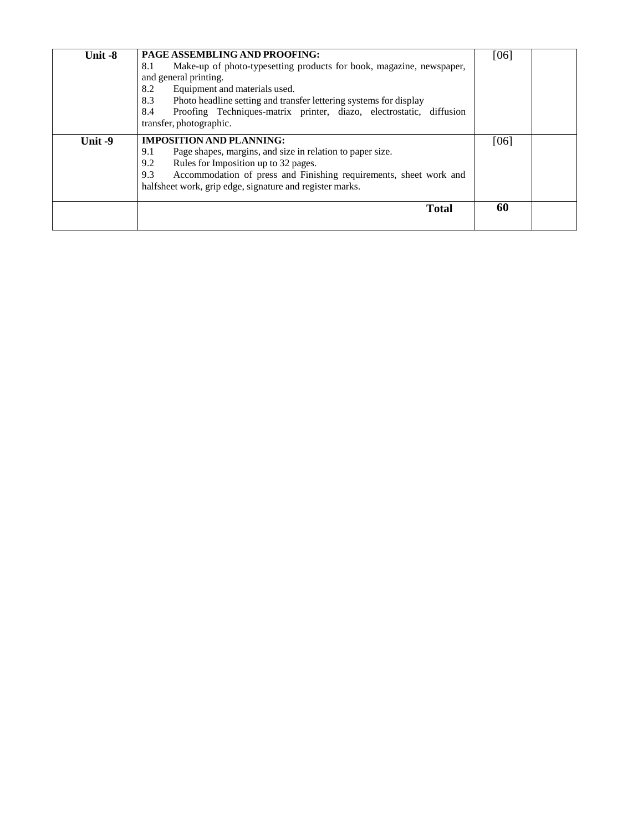| Unit -8 | PAGE ASSEMBLING AND PROOFING:<br>Make-up of photo-typesetting products for book, magazine, newspaper,<br>8.1<br>and general printing.<br>8.2<br>Equipment and materials used.<br>8.3<br>Photo headline setting and transfer lettering systems for display<br>Proofing Techniques-matrix printer, diazo, electrostatic, diffusion<br>8.4<br>transfer, photographic. | [06] |  |
|---------|--------------------------------------------------------------------------------------------------------------------------------------------------------------------------------------------------------------------------------------------------------------------------------------------------------------------------------------------------------------------|------|--|
| Unit-9  | <b>IMPOSITION AND PLANNING:</b><br>Page shapes, margins, and size in relation to paper size.<br>9.1<br>Rules for Imposition up to 32 pages.<br>9.2<br>Accommodation of press and Finishing requirements, sheet work and<br>9.3<br>halfsheet work, grip edge, signature and register marks.                                                                         | [06] |  |
|         | <b>Total</b>                                                                                                                                                                                                                                                                                                                                                       | 60   |  |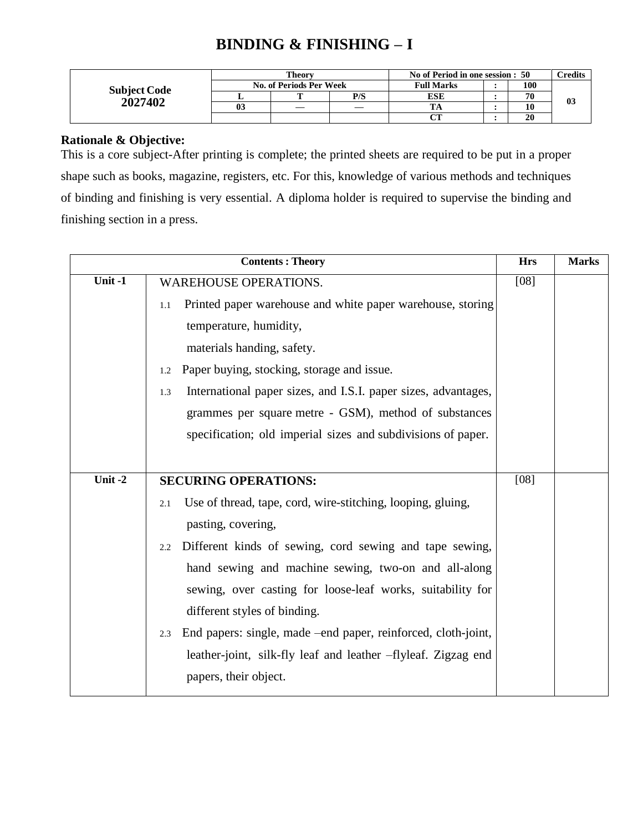### **BINDING & FINISHING – I**

|                     | <b>Theory</b> |                         |     | No of Period in one session : 50 | <b>Credits</b> |                |
|---------------------|---------------|-------------------------|-----|----------------------------------|----------------|----------------|
| <b>Subject Code</b> |               | No. of Periods Per Week |     | <b>Full Marks</b>                | 100            |                |
| 2027402             |               |                         | P/S | ESE                              | 70             | 0 <sub>3</sub> |
|                     | 03            |                         |     |                                  | 10             |                |
|                     |               |                         |     |                                  | 20             |                |

### **Rationale & Objective:**

This is a core subject-After printing is complete; the printed sheets are required to be put in a proper shape such as books, magazine, registers, etc. For this, knowledge of various methods and techniques of binding and finishing is very essential. A diploma holder is required to supervise the binding and finishing section in a press.

|           | <b>Contents: Theory</b>                                               | <b>Hrs</b>        | <b>Marks</b> |
|-----------|-----------------------------------------------------------------------|-------------------|--------------|
| Unit $-1$ | <b>WAREHOUSE OPERATIONS.</b>                                          | $\overline{[08]}$ |              |
|           | Printed paper warehouse and white paper warehouse, storing<br>1.1     |                   |              |
|           | temperature, humidity,                                                |                   |              |
|           | materials handing, safety.                                            |                   |              |
|           | Paper buying, stocking, storage and issue.<br>1.2                     |                   |              |
|           | International paper sizes, and I.S.I. paper sizes, advantages,<br>1.3 |                   |              |
|           | grammes per square metre - GSM), method of substances                 |                   |              |
|           | specification; old imperial sizes and subdivisions of paper.          |                   |              |
|           |                                                                       |                   |              |
| Unit-2    | <b>SECURING OPERATIONS:</b>                                           | $[08]$            |              |
|           | Use of thread, tape, cord, wire-stitching, looping, gluing,<br>2.1    |                   |              |
|           | pasting, covering,                                                    |                   |              |
|           | Different kinds of sewing, cord sewing and tape sewing,<br>2.2        |                   |              |
|           | hand sewing and machine sewing, two-on and all-along                  |                   |              |
|           | sewing, over casting for loose-leaf works, suitability for            |                   |              |
|           | different styles of binding.                                          |                   |              |
|           | End papers: single, made –end paper, reinforced, cloth-joint,<br>2.3  |                   |              |
|           | leather-joint, silk-fly leaf and leather -flyleaf. Zigzag end         |                   |              |
|           | papers, their object.                                                 |                   |              |
|           |                                                                       |                   |              |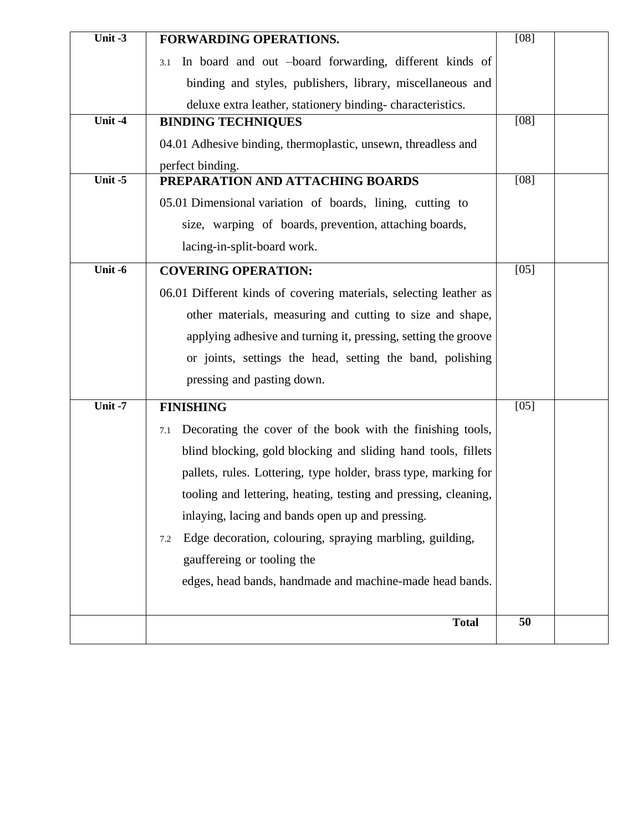| Unit $-3$ | FORWARDING OPERATIONS.                                            | $[08]$ |  |
|-----------|-------------------------------------------------------------------|--------|--|
|           | In board and out -board forwarding, different kinds of<br>3.1     |        |  |
|           | binding and styles, publishers, library, miscellaneous and        |        |  |
|           | deluxe extra leather, stationery binding-characteristics.         |        |  |
| Unit-4    | <b>BINDING TECHNIQUES</b>                                         | [08]   |  |
|           | 04.01 Adhesive binding, thermoplastic, unsewn, threadless and     |        |  |
|           | perfect binding.                                                  |        |  |
| Unit-5    | PREPARATION AND ATTACHING BOARDS                                  | $[08]$ |  |
|           | 05.01 Dimensional variation of boards, lining, cutting to         |        |  |
|           | size, warping of boards, prevention, attaching boards,            |        |  |
|           | lacing-in-split-board work.                                       |        |  |
| Unit-6    | <b>COVERING OPERATION:</b>                                        | $[05]$ |  |
|           | 06.01 Different kinds of covering materials, selecting leather as |        |  |
|           | other materials, measuring and cutting to size and shape,         |        |  |
|           | applying adhesive and turning it, pressing, setting the groove    |        |  |
|           | or joints, settings the head, setting the band, polishing         |        |  |
|           | pressing and pasting down.                                        |        |  |
| Unit $-7$ | <b>FINISHING</b>                                                  | $[05]$ |  |
|           |                                                                   |        |  |
|           | Decorating the cover of the book with the finishing tools,<br>7.1 |        |  |
|           | blind blocking, gold blocking and sliding hand tools, fillets     |        |  |
|           | pallets, rules. Lottering, type holder, brass type, marking for   |        |  |
|           | tooling and lettering, heating, testing and pressing, cleaning,   |        |  |
|           | inlaying, lacing and bands open up and pressing.                  |        |  |
|           | Edge decoration, colouring, spraying marbling, guilding,<br>7.2   |        |  |
|           | gauffereing or tooling the                                        |        |  |
|           | edges, head bands, handmade and machine-made head bands.          |        |  |
|           |                                                                   |        |  |
|           | <b>Total</b>                                                      | 50     |  |
|           |                                                                   |        |  |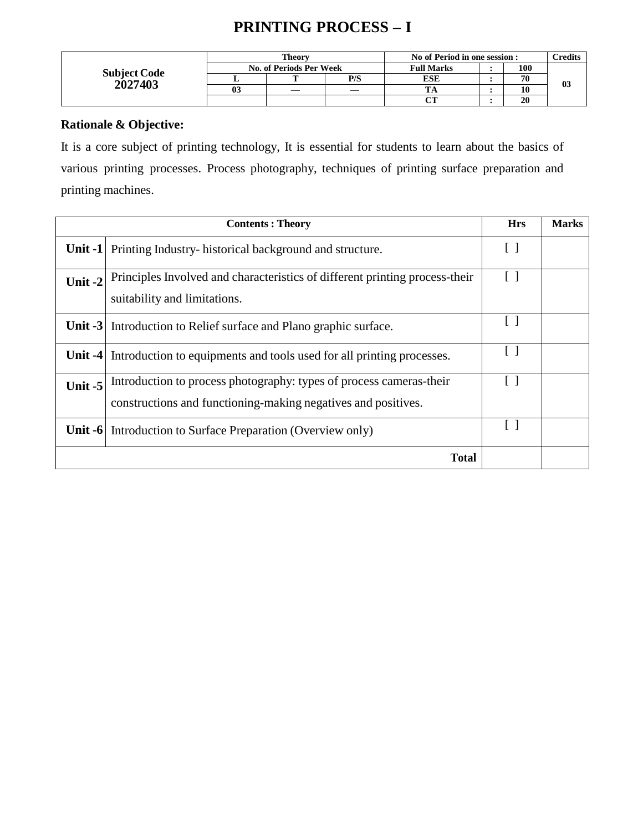# **PRINTING PROCESS – I**

|                     |    | Theorv                  |     | No of Period in one session : | $\mathbf{C}$ redits |    |
|---------------------|----|-------------------------|-----|-------------------------------|---------------------|----|
| <b>Subject Code</b> |    | No. of Periods Per Week |     | <b>Full Marks</b>             | 100                 |    |
|                     |    |                         | P/S | ESE                           | 70                  | 03 |
| 2027403             | 03 |                         |     |                               | 10                  |    |
|                     |    |                         |     | $\alpha$ tt                   | 20                  |    |

### **Rationale & Objective:**

It is a core subject of printing technology, It is essential for students to learn about the basics of various printing processes. Process photography, techniques of printing surface preparation and printing machines.

|           | <b>Contents: Theory</b>                                                                                                              | <b>Hrs</b>      | <b>Marks</b> |
|-----------|--------------------------------------------------------------------------------------------------------------------------------------|-----------------|--------------|
|           | <b>Unit -1</b> Printing Industry-historical background and structure.                                                                | []              |              |
| Unit-2    | Principles Involved and characteristics of different printing process-their<br>suitability and limitations.                          | $\vert \ \vert$ |              |
|           | <b>Unit -3</b> Introduction to Relief surface and Plano graphic surface.                                                             | $\mathsf{L}$    |              |
| Unit $-4$ | Introduction to equipments and tools used for all printing processes.                                                                |                 |              |
| Unit-5    | Introduction to process photography: types of process cameras-their<br>constructions and functioning-making negatives and positives. | $\Box$          |              |
|           | <b>Unit -6</b> Introduction to Surface Preparation (Overview only)                                                                   |                 |              |
|           | <b>Total</b>                                                                                                                         |                 |              |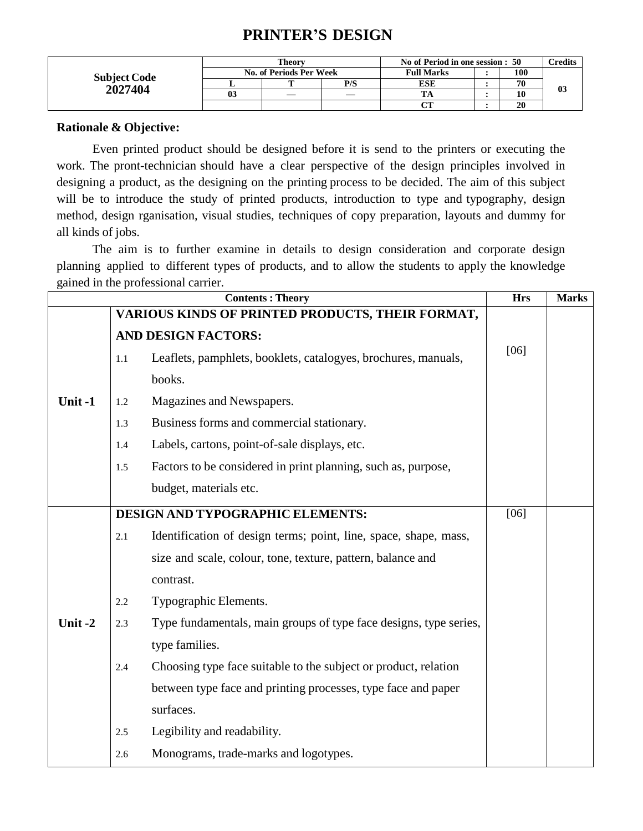### **PRINTER'S DESIGN**

|                     | Theorv |                         |     | No of Period in one session : 50 |  |     | <b>Tredits</b> |
|---------------------|--------|-------------------------|-----|----------------------------------|--|-----|----------------|
| <b>Subject Code</b> |        | No. of Periods Per Week |     | <b>Full Marks</b>                |  | 100 |                |
| 2027404             |        |                         | P/S | ESE                              |  | 70  | 03             |
|                     | 03     |                         |     |                                  |  | 10  |                |
|                     |        |                         |     | $\alpha$<br>U 1                  |  | 20  |                |

#### **Rationale & Objective:**

Even printed product should be designed before it is send to the printers or executing the work. The pront-technician should have a clear perspective of the design principles involved in designing a product, as the designing on the printing process to be decided. The aim of this subject will be to introduce the study of printed products, introduction to type and typography, design method, design rganisation, visual studies, techniques of copy preparation, layouts and dummy for all kinds of jobs.

The aim is to further examine in details to design consideration and corporate design planning applied to different types of products, and to allow the students to apply the knowledge gained in the professional carrier.

|        |         | <b>Contents: Theory</b>                                           | <b>Hrs</b> | <b>Marks</b> |
|--------|---------|-------------------------------------------------------------------|------------|--------------|
|        |         | VARIOUS KINDS OF PRINTED PRODUCTS, THEIR FORMAT,                  |            |              |
|        |         | <b>AND DESIGN FACTORS:</b>                                        |            |              |
|        | $1.1\,$ | Leaflets, pamphlets, booklets, catalogyes, brochures, manuals,    | [06]       |              |
|        |         | books.                                                            |            |              |
| Unit-1 | 1.2     | Magazines and Newspapers.                                         |            |              |
|        | 1.3     | Business forms and commercial stationary.                         |            |              |
|        | 1.4     | Labels, cartons, point-of-sale displays, etc.                     |            |              |
|        | 1.5     | Factors to be considered in print planning, such as, purpose,     |            |              |
|        |         | budget, materials etc.                                            |            |              |
|        |         | DESIGN AND TYPOGRAPHIC ELEMENTS:                                  | [06]       |              |
|        | 2.1     | Identification of design terms; point, line, space, shape, mass,  |            |              |
|        |         | size and scale, colour, tone, texture, pattern, balance and       |            |              |
|        |         | contrast.                                                         |            |              |
|        | 2.2     | Typographic Elements.                                             |            |              |
| Unit-2 | 2.3     | Type fundamentals, main groups of type face designs, type series, |            |              |
|        |         | type families.                                                    |            |              |
|        | 2.4     | Choosing type face suitable to the subject or product, relation   |            |              |
|        |         | between type face and printing processes, type face and paper     |            |              |
|        |         | surfaces.                                                         |            |              |
|        | 2.5     | Legibility and readability.                                       |            |              |
|        | 2.6     | Monograms, trade-marks and logotypes.                             |            |              |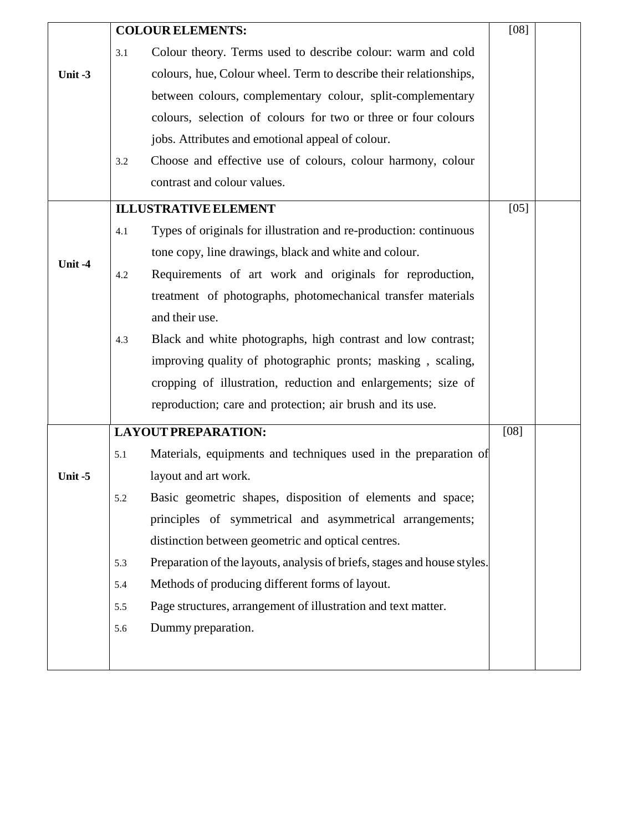|           |     | <b>COLOUR ELEMENTS:</b>                                                  | [08]   |  |
|-----------|-----|--------------------------------------------------------------------------|--------|--|
|           | 3.1 | Colour theory. Terms used to describe colour: warm and cold              |        |  |
| Unit $-3$ |     | colours, hue, Colour wheel. Term to describe their relationships,        |        |  |
|           |     | between colours, complementary colour, split-complementary               |        |  |
|           |     | colours, selection of colours for two or three or four colours           |        |  |
|           |     | jobs. Attributes and emotional appeal of colour.                         |        |  |
|           | 3.2 | Choose and effective use of colours, colour harmony, colour              |        |  |
|           |     | contrast and colour values.                                              |        |  |
|           |     | <b>ILLUSTRATIVE ELEMENT</b>                                              | $[05]$ |  |
|           | 4.1 | Types of originals for illustration and re-production: continuous        |        |  |
|           |     | tone copy, line drawings, black and white and colour.                    |        |  |
| Unit-4    | 4.2 | Requirements of art work and originals for reproduction,                 |        |  |
|           |     | treatment of photographs, photomechanical transfer materials             |        |  |
|           |     | and their use.                                                           |        |  |
|           | 4.3 | Black and white photographs, high contrast and low contrast;             |        |  |
|           |     | improving quality of photographic pronts; masking, scaling,              |        |  |
|           |     | cropping of illustration, reduction and enlargements; size of            |        |  |
|           |     | reproduction; care and protection; air brush and its use.                |        |  |
|           |     | <b>LAYOUT PREPARATION:</b>                                               | [08]   |  |
|           | 5.1 | Materials, equipments and techniques used in the preparation of          |        |  |
| Unit-5    |     | layout and art work.                                                     |        |  |
|           | 5.2 | Basic geometric shapes, disposition of elements and space;               |        |  |
|           |     | principles of symmetrical and asymmetrical arrangements;                 |        |  |
|           |     | distinction between geometric and optical centres.                       |        |  |
|           | 5.3 | Preparation of the layouts, analysis of briefs, stages and house styles. |        |  |
|           | 5.4 | Methods of producing different forms of layout.                          |        |  |
|           | 5.5 | Page structures, arrangement of illustration and text matter.            |        |  |
|           | 5.6 | Dummy preparation.                                                       |        |  |
|           |     |                                                                          |        |  |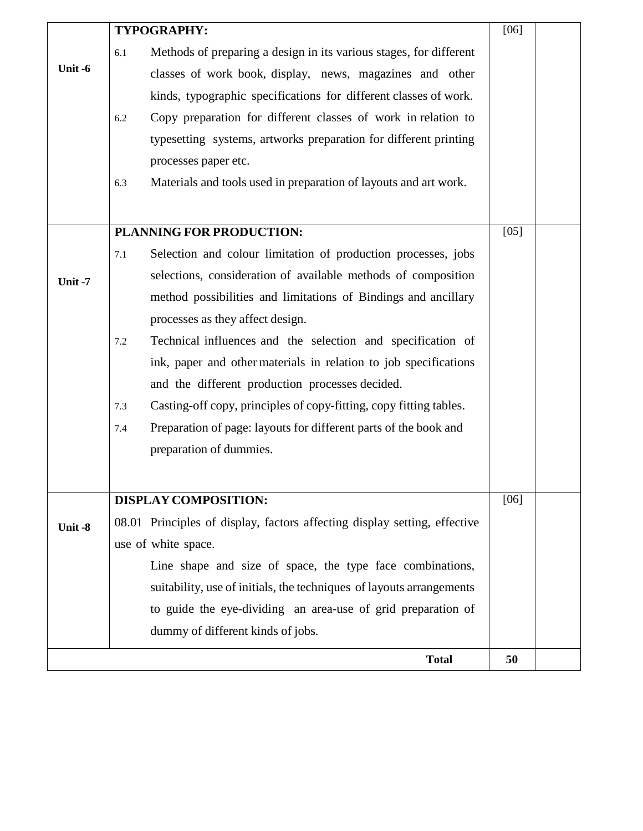|        |     | TYPOGRAPHY:                                                               | $[06]$ |  |
|--------|-----|---------------------------------------------------------------------------|--------|--|
|        | 6.1 | Methods of preparing a design in its various stages, for different        |        |  |
| Unit-6 |     | classes of work book, display, news, magazines and other                  |        |  |
|        |     | kinds, typographic specifications for different classes of work.          |        |  |
|        | 6.2 | Copy preparation for different classes of work in relation to             |        |  |
|        |     | typesetting systems, artworks preparation for different printing          |        |  |
|        |     | processes paper etc.                                                      |        |  |
|        | 6.3 | Materials and tools used in preparation of layouts and art work.          |        |  |
|        |     |                                                                           |        |  |
|        |     | PLANNING FOR PRODUCTION:                                                  | $[05]$ |  |
|        | 7.1 | Selection and colour limitation of production processes, jobs             |        |  |
| Unit-7 |     | selections, consideration of available methods of composition             |        |  |
|        |     | method possibilities and limitations of Bindings and ancillary            |        |  |
|        |     | processes as they affect design.                                          |        |  |
|        | 7.2 | Technical influences and the selection and specification of               |        |  |
|        |     | ink, paper and other materials in relation to job specifications          |        |  |
|        |     | and the different production processes decided.                           |        |  |
|        | 7.3 | Casting-off copy, principles of copy-fitting, copy fitting tables.        |        |  |
|        | 7.4 | Preparation of page: layouts for different parts of the book and          |        |  |
|        |     | preparation of dummies.                                                   |        |  |
|        |     |                                                                           |        |  |
|        |     | <b>DISPLAY COMPOSITION:</b>                                               | $[06]$ |  |
| Unit-8 |     | 08.01 Principles of display, factors affecting display setting, effective |        |  |
|        |     | use of white space.                                                       |        |  |
|        |     | Line shape and size of space, the type face combinations,                 |        |  |
|        |     | suitability, use of initials, the techniques of layouts arrangements      |        |  |
|        |     | to guide the eye-dividing an area-use of grid preparation of              |        |  |
|        |     | dummy of different kinds of jobs.                                         |        |  |
|        |     | <b>Total</b>                                                              | 50     |  |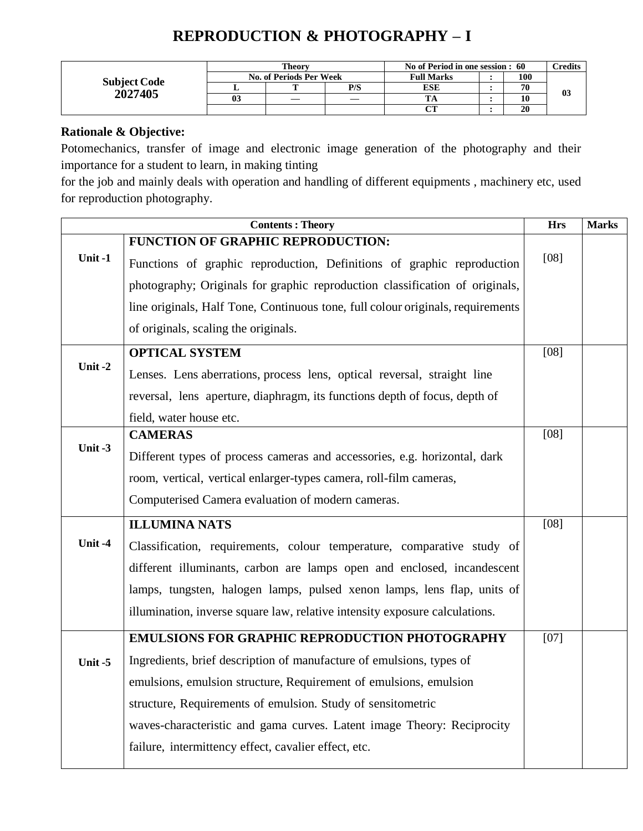# **REPRODUCTION & PHOTOGRAPHY – I**

| <b>Subject Code</b> |    | Theory                  |     | No of Period in one session : 60 |  |     | <b>credits</b> |
|---------------------|----|-------------------------|-----|----------------------------------|--|-----|----------------|
|                     |    | No. of Periods Per Week |     | <b>Full Marks</b>                |  | 100 |                |
| 2027405             |    |                         | P/S | ESE                              |  | 70  |                |
|                     | 03 |                         |     |                                  |  | 10  | 03             |
|                     |    |                         |     | $\alpha$                         |  | 20  |                |

#### **Rationale & Objective:**

Potomechanics, transfer of image and electronic image generation of the photography and their importance for a student to learn, in making tinting

for the job and mainly deals with operation and handling of different equipments , machinery etc, used for reproduction photography.

|        | <b>Contents: Theory</b>                                                         | <b>Hrs</b> | <b>Marks</b> |
|--------|---------------------------------------------------------------------------------|------------|--------------|
|        | FUNCTION OF GRAPHIC REPRODUCTION:                                               |            |              |
| Unit-1 | Functions of graphic reproduction, Definitions of graphic reproduction          | $[08]$     |              |
|        | photography; Originals for graphic reproduction classification of originals,    |            |              |
|        | line originals, Half Tone, Continuous tone, full colour originals, requirements |            |              |
|        | of originals, scaling the originals.                                            |            |              |
|        | <b>OPTICAL SYSTEM</b>                                                           | [08]       |              |
| Unit-2 | Lenses. Lens aberrations, process lens, optical reversal, straight line         |            |              |
|        | reversal, lens aperture, diaphragm, its functions depth of focus, depth of      |            |              |
|        | field, water house etc.                                                         |            |              |
|        | <b>CAMERAS</b>                                                                  | [08]       |              |
| Unit-3 | Different types of process cameras and accessories, e.g. horizontal, dark       |            |              |
|        | room, vertical, vertical enlarger-types camera, roll-film cameras,              |            |              |
|        | Computerised Camera evaluation of modern cameras.                               |            |              |
|        | <b>ILLUMINA NATS</b>                                                            | $[08]$     |              |
| Unit-4 | Classification, requirements, colour temperature, comparative study of          |            |              |
|        | different illuminants, carbon are lamps open and enclosed, incandescent         |            |              |
|        | lamps, tungsten, halogen lamps, pulsed xenon lamps, lens flap, units of         |            |              |
|        | illumination, inverse square law, relative intensity exposure calculations.     |            |              |
|        | <b>EMULSIONS FOR GRAPHIC REPRODUCTION PHOTOGRAPHY</b>                           | [07]       |              |
| Unit-5 | Ingredients, brief description of manufacture of emulsions, types of            |            |              |
|        | emulsions, emulsion structure, Requirement of emulsions, emulsion               |            |              |
|        | structure, Requirements of emulsion. Study of sensitometric                     |            |              |
|        | waves-characteristic and gama curves. Latent image Theory: Reciprocity          |            |              |
|        | failure, intermittency effect, cavalier effect, etc.                            |            |              |
|        |                                                                                 |            |              |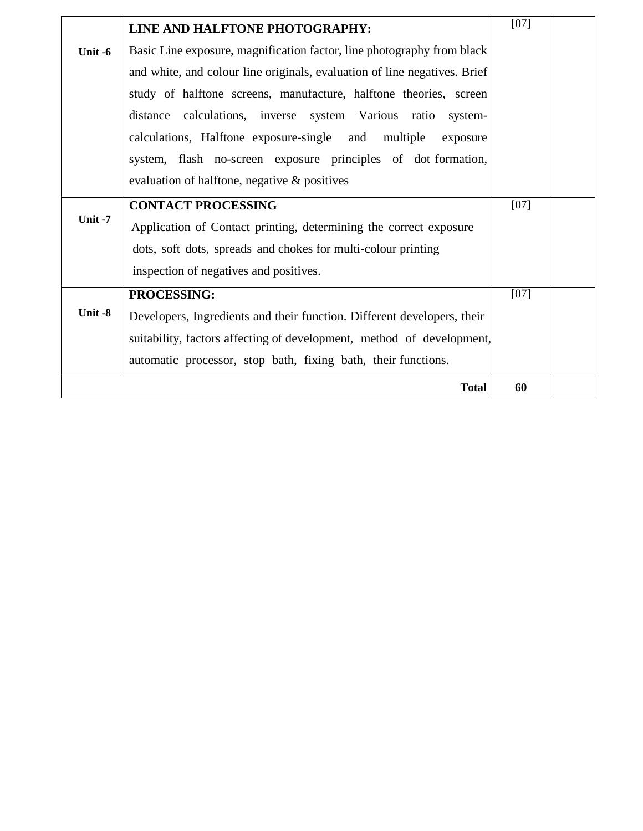|         | LINE AND HALFTONE PHOTOGRAPHY:                                            | $[07]$ |  |
|---------|---------------------------------------------------------------------------|--------|--|
| Unit -6 | Basic Line exposure, magnification factor, line photography from black    |        |  |
|         | and white, and colour line originals, evaluation of line negatives. Brief |        |  |
|         | study of halftone screens, manufacture, halftone theories, screen         |        |  |
|         | calculations, inverse system Various ratio<br>distance<br>system-         |        |  |
|         | calculations, Halftone exposure-single and<br>multiple<br>exposure        |        |  |
|         | system, flash no-screen exposure principles of dot formation,             |        |  |
|         | evaluation of halftone, negative & positives                              |        |  |
|         | <b>CONTACT PROCESSING</b>                                                 | $[07]$ |  |
| Unit-7  | Application of Contact printing, determining the correct exposure         |        |  |
|         | dots, soft dots, spreads and chokes for multi-colour printing             |        |  |
|         | inspection of negatives and positives.                                    |        |  |
|         | PROCESSING:                                                               | $[07]$ |  |
| Unit -8 | Developers, Ingredients and their function. Different developers, their   |        |  |
|         | suitability, factors affecting of development, method of development,     |        |  |
|         | automatic processor, stop bath, fixing bath, their functions.             |        |  |
|         | <b>Total</b>                                                              | 60     |  |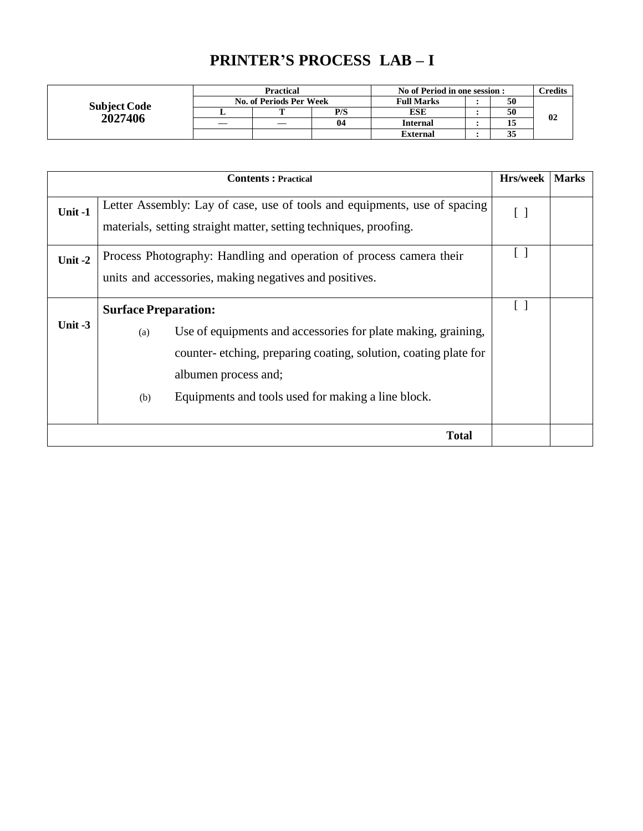# **PRINTER'S PROCESS LAB – I**

|                     | <b>Practical</b>        |     | No of Period in one session : |  |    | <b>Predits</b> |
|---------------------|-------------------------|-----|-------------------------------|--|----|----------------|
| <b>Subject Code</b> | No. of Periods Per Week |     | <b>Full Marks</b>             |  | 50 |                |
| 2027406             |                         | P/S | ESE                           |  | 50 | 02             |
|                     |                         | 04  | <b>Internal</b>               |  |    |                |
|                     |                         |     | External                      |  | 35 |                |

|           | <b>Contents: Practical</b>                                                                                                                                                                                                                                  | Hrs/week | <b>Marks</b> |
|-----------|-------------------------------------------------------------------------------------------------------------------------------------------------------------------------------------------------------------------------------------------------------------|----------|--------------|
| Unit-1    | Letter Assembly: Lay of case, use of tools and equipments, use of spacing<br>materials, setting straight matter, setting techniques, proofing.                                                                                                              | []       |              |
| Unit $-2$ | Process Photography: Handling and operation of process camera their<br>units and accessories, making negatives and positives.                                                                                                                               |          |              |
| Unit $-3$ | <b>Surface Preparation:</b><br>Use of equipments and accessories for plate making, graining,<br>(a)<br>counter-etching, preparing coating, solution, coating plate for<br>albumen process and;<br>Equipments and tools used for making a line block.<br>(b) | U        |              |
|           | <b>Total</b>                                                                                                                                                                                                                                                |          |              |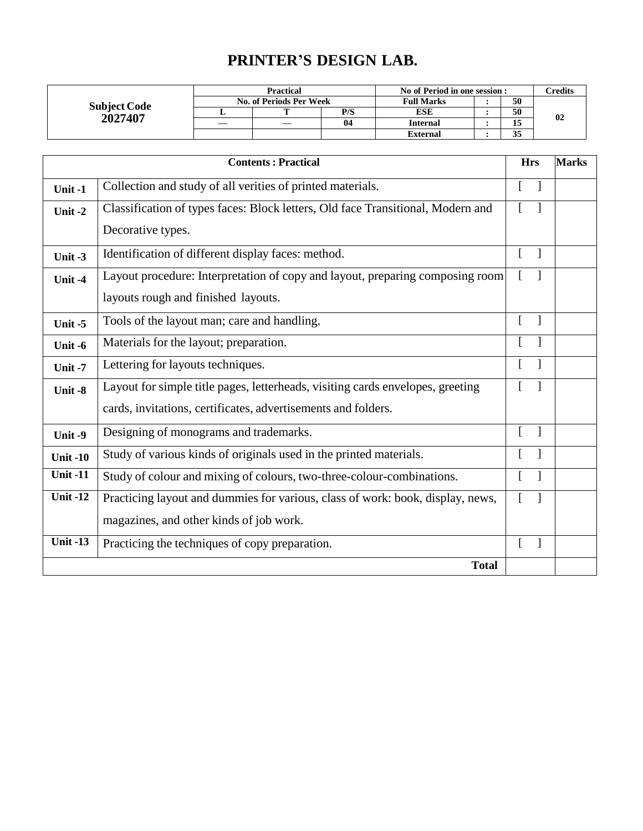## **PRINTER'S DESIGN LAB.**

| <b>Subject Code</b><br>2027407 | <b>Practical</b>        |   |     | No of Period in one session : |  |                     | Credits |
|--------------------------------|-------------------------|---|-----|-------------------------------|--|---------------------|---------|
|                                | No. of Periods Per Week |   |     | <b>Full Marks</b>             |  | 50                  |         |
|                                |                         | m | P/S | <b>ESE</b>                    |  | 50                  | 02      |
|                                |                         |   | 04  | <b>Internal</b>               |  | ⊥ພ                  |         |
|                                |                         |   |     | <b>External</b>               |  | $\sim$ $\sim$<br>ມມ |         |

|                 | <b>Contents: Practical</b>                                                      | <b>Hrs</b>   |                          | <b>Marks</b> |
|-----------------|---------------------------------------------------------------------------------|--------------|--------------------------|--------------|
| Unit-1          | Collection and study of all verities of printed materials.                      | $\Gamma$     |                          |              |
| Unit-2          | Classification of types faces: Block letters, Old face Transitional, Modern and | $\Gamma$     |                          |              |
|                 | Decorative types.                                                               |              |                          |              |
| Unit-3          | Identification of different display faces: method.                              | $\Gamma$     | $\overline{\phantom{a}}$ |              |
| Unit-4          | Layout procedure: Interpretation of copy and layout, preparing composing room   | $\mathbb{R}$ |                          |              |
|                 | layouts rough and finished layouts.                                             |              |                          |              |
| Unit $-5$       | Tools of the layout man; care and handling.                                     | $\Gamma$     | $\mathbf{1}$             |              |
| Unit -6         | Materials for the layout; preparation.                                          | ſ            |                          |              |
| Unit-7          | Lettering for layouts techniques.                                               | L            |                          |              |
| Unit-8          | Layout for simple title pages, letterheads, visiting cards envelopes, greeting  | L            |                          |              |
|                 | cards, invitations, certificates, advertisements and folders.                   |              |                          |              |
| Unit-9          | Designing of monograms and trademarks.                                          | L            |                          |              |
| <b>Unit -10</b> | Study of various kinds of originals used in the printed materials.              |              |                          |              |
| <b>Unit-11</b>  | Study of colour and mixing of colours, two-three-colour-combinations.           |              |                          |              |
| <b>Unit-12</b>  | Practicing layout and dummies for various, class of work: book, display, news,  | L            |                          |              |
|                 | magazines, and other kinds of job work.                                         |              |                          |              |
| <b>Unit-13</b>  | Practicing the techniques of copy preparation.                                  |              |                          |              |
|                 | <b>Total</b>                                                                    |              |                          |              |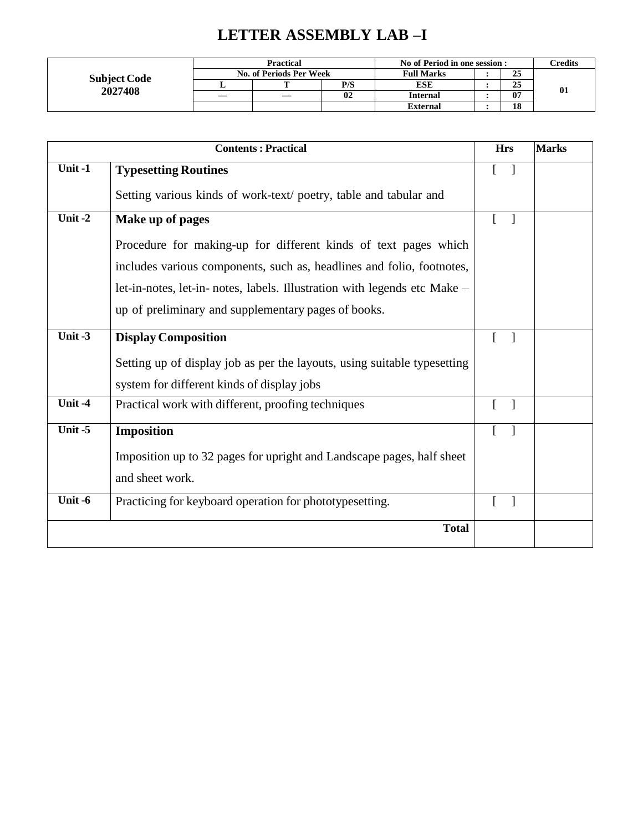# **LETTER ASSEMBLY LAB –I**

| <b>Subject Code</b><br>2027408 | <b>Practical</b>        | No of Period in one session : |                 |    | $\mathop{{\rm \mathbf{C}redits}}$ |           |
|--------------------------------|-------------------------|-------------------------------|-----------------|----|-----------------------------------|-----------|
|                                | No. of Periods Per Week | <b>Full Marks</b>             |                 | 25 |                                   |           |
|                                |                         | P/S                           | ESE             |    | 25                                | $\bf{01}$ |
|                                |                         | 02                            | <b>Internal</b> |    | 07                                |           |
|                                |                         |                               | <b>External</b> |    | 18                                |           |

 $\mathsf{I}$ 

|           | <b>Hrs</b>                                                               | <b>Marks</b>                             |  |
|-----------|--------------------------------------------------------------------------|------------------------------------------|--|
| Unit-1    | <b>Typesetting Routines</b>                                              | L<br>$\Box$                              |  |
|           | Setting various kinds of work-text/poetry, table and tabular and         |                                          |  |
| Unit-2    | Make up of pages                                                         | L<br>$\mathbf{1}$                        |  |
|           | Procedure for making-up for different kinds of text pages which          |                                          |  |
|           | includes various components, such as, headlines and folio, footnotes,    |                                          |  |
|           | let-in-notes, let-in-notes, labels. Illustration with legends etc Make – |                                          |  |
|           | up of preliminary and supplementary pages of books.                      |                                          |  |
| Unit $-3$ | <b>Display Composition</b>                                               | $\mathbf{1}$                             |  |
|           | Setting up of display job as per the layouts, using suitable typesetting |                                          |  |
|           | system for different kinds of display jobs                               |                                          |  |
| Unit-4    | Practical work with different, proofing techniques                       | $\mathbf{I}$                             |  |
| Unit $-5$ | <b>Imposition</b>                                                        | $\mathbf{r}$<br>$\overline{\phantom{a}}$ |  |
|           | Imposition up to 32 pages for upright and Landscape pages, half sheet    |                                          |  |
|           | and sheet work.                                                          |                                          |  |
| Unit -6   | Practicing for keyboard operation for phototypesetting.                  | $\overline{\phantom{a}}$                 |  |
|           | <b>Total</b>                                                             |                                          |  |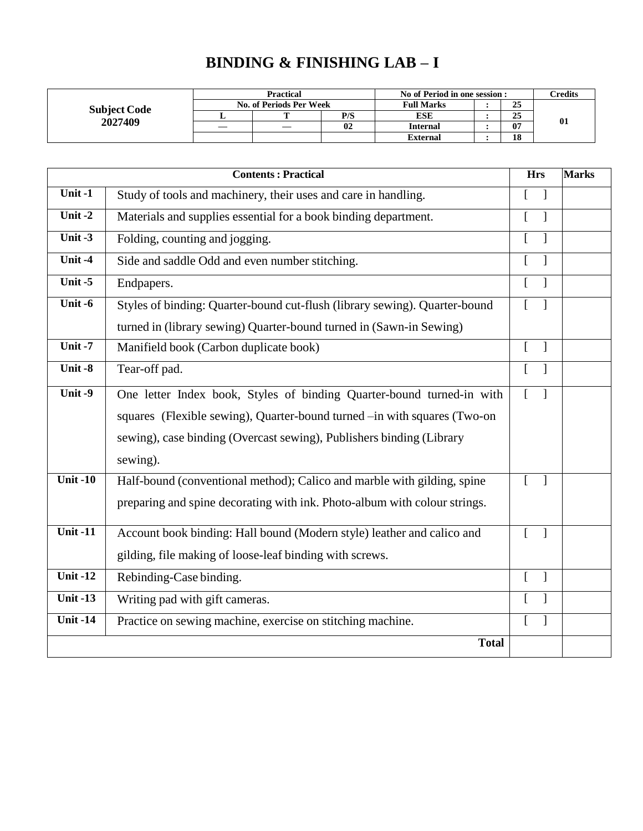# **BINDING & FINISHING LAB – I**

| <b>Subject Code</b><br>2027409 | Practical               |   |     | No of Period in one session : |  |    | Credits |
|--------------------------------|-------------------------|---|-----|-------------------------------|--|----|---------|
|                                | No. of Periods Per Week |   |     | <b>Full Marks</b>             |  | 25 |         |
|                                |                         | m | P/S | ESE                           |  | 25 |         |
|                                |                         |   | 02  | <b>Internal</b>               |  | 07 | 01      |
|                                |                         |   |     | <b>External</b>               |  | 18 |         |

|                              | <b>Contents: Practical</b>                                                 | <b>Hrs</b>                   | <b>Marks</b> |
|------------------------------|----------------------------------------------------------------------------|------------------------------|--------------|
| Unit-1                       | Study of tools and machinery, their uses and care in handling.             |                              |              |
| Unit-2                       | Materials and supplies essential for a book binding department.            |                              |              |
| Unit $-3$                    | Folding, counting and jogging.                                             |                              |              |
| Unit-4                       | Side and saddle Odd and even number stitching.                             |                              |              |
| Unit $-5$                    | Endpapers.                                                                 | ſ                            |              |
| Unit $-6$                    | Styles of binding: Quarter-bound cut-flush (library sewing). Quarter-bound |                              |              |
|                              | turned in (library sewing) Quarter-bound turned in (Sawn-in Sewing)        |                              |              |
| Unit-7                       | Manifield book (Carbon duplicate book)                                     |                              |              |
| Unit $-8$                    | Tear-off pad.                                                              |                              |              |
| Unit $-9$                    | One letter Index book, Styles of binding Quarter-bound turned-in with      | $\overline{a}$               |              |
|                              | squares (Flexible sewing), Quarter-bound turned -in with squares (Two-on   |                              |              |
|                              | sewing), case binding (Overcast sewing), Publishers binding (Library       |                              |              |
|                              | sewing).                                                                   |                              |              |
| $\overline{\text{Unit}}$ -10 | Half-bound (conventional method); Calico and marble with gilding, spine    | ſ                            |              |
|                              | preparing and spine decorating with ink. Photo-album with colour strings.  |                              |              |
| Unit $-11$                   | Account book binding: Hall bound (Modern style) leather and calico and     | $\Gamma$<br>$\mathbf{1}$     |              |
|                              | gilding, file making of loose-leaf binding with screws.                    |                              |              |
| Unit $-12$                   | Rebinding-Case binding.                                                    | <sub>[</sub><br>$\mathbf{I}$ |              |
| Unit $-13$                   | Writing pad with gift cameras.                                             |                              |              |
| Unit $-14$                   | Practice on sewing machine, exercise on stitching machine.                 |                              |              |
|                              | <b>Total</b>                                                               |                              |              |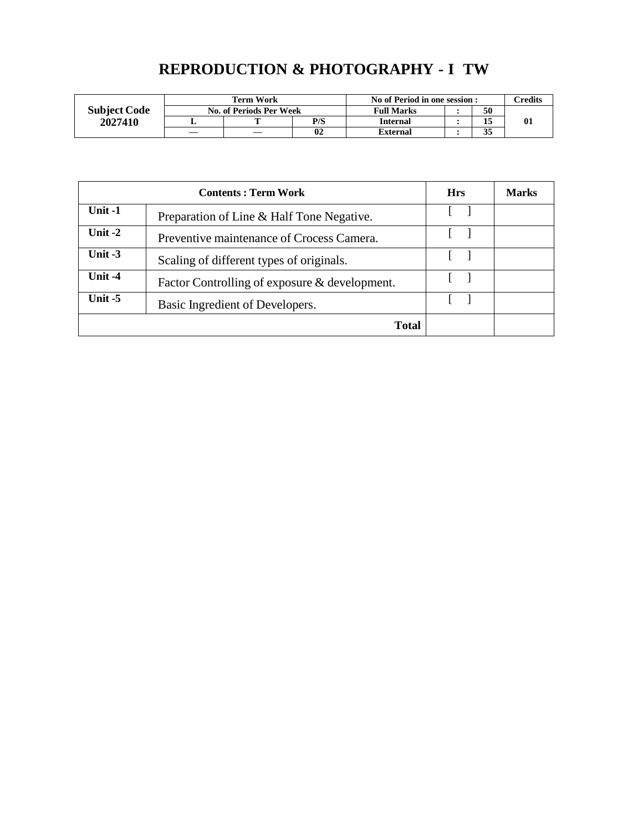## **REPRODUCTION & PHOTOGRAPHY - I TW**

|                     |    | <b>Term Work</b>               | No of Period in one session : |                 |    | $\gamma$ redits |  |
|---------------------|----|--------------------------------|-------------------------------|-----------------|----|-----------------|--|
| <b>Subject Code</b> |    | <b>No. of Periods Per Week</b> | <b>Full Marks</b>             |                 | 50 |                 |  |
| 2027410             |    | m                              | P/S                           | <b>Internal</b> |    |                 |  |
|                     | __ |                                | 0 <sub>2</sub>                | External        |    | 35<br>◡         |  |

|           | <b>Hrs</b>                                    | Marks |  |
|-----------|-----------------------------------------------|-------|--|
| Unit $-1$ | Preparation of Line & Half Tone Negative.     |       |  |
| Unit $-2$ | Preventive maintenance of Crocess Camera.     |       |  |
| Unit $-3$ | Scaling of different types of originals.      |       |  |
| Unit $-4$ | Factor Controlling of exposure & development. |       |  |
| Unit $-5$ | Basic Ingredient of Developers.               |       |  |
|           | <b>Total</b>                                  |       |  |